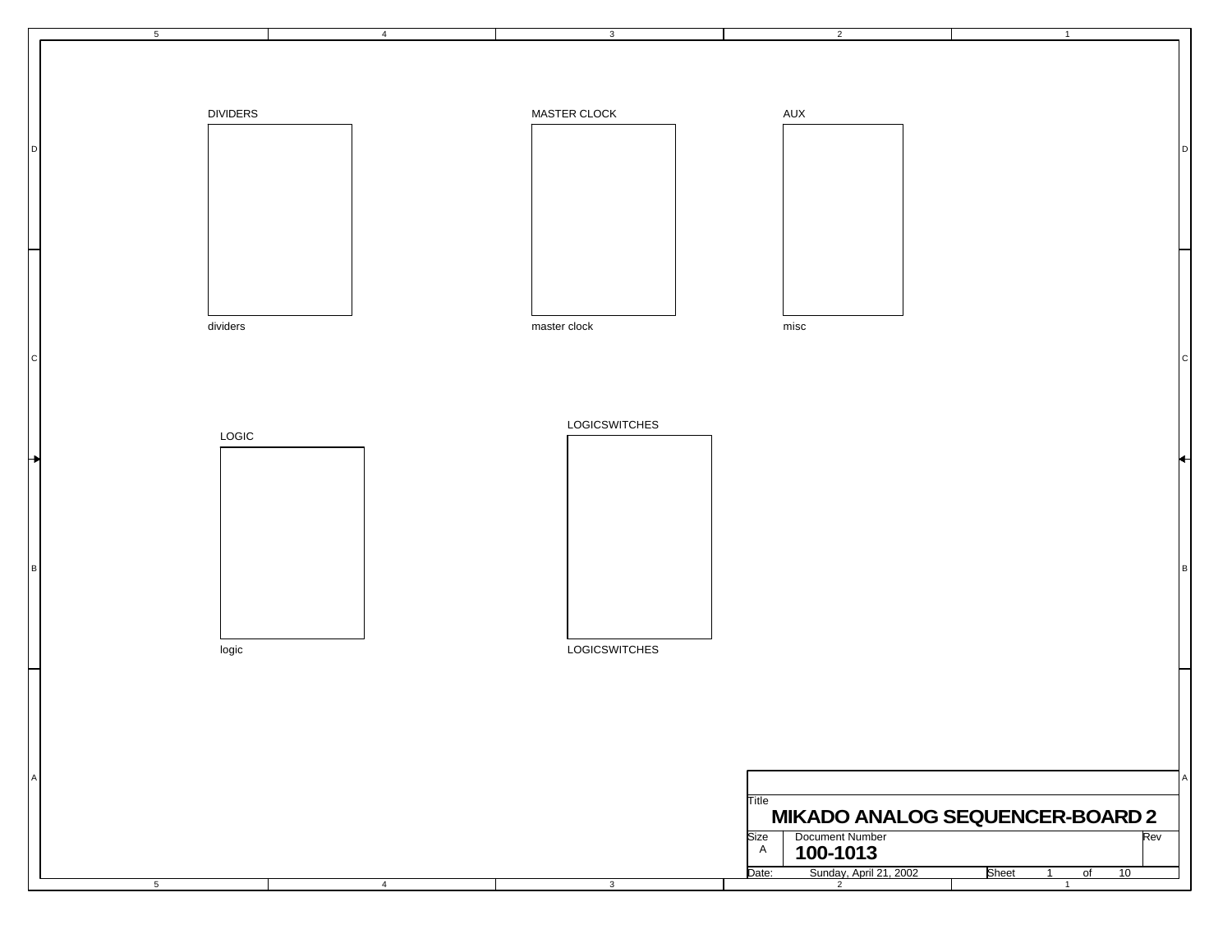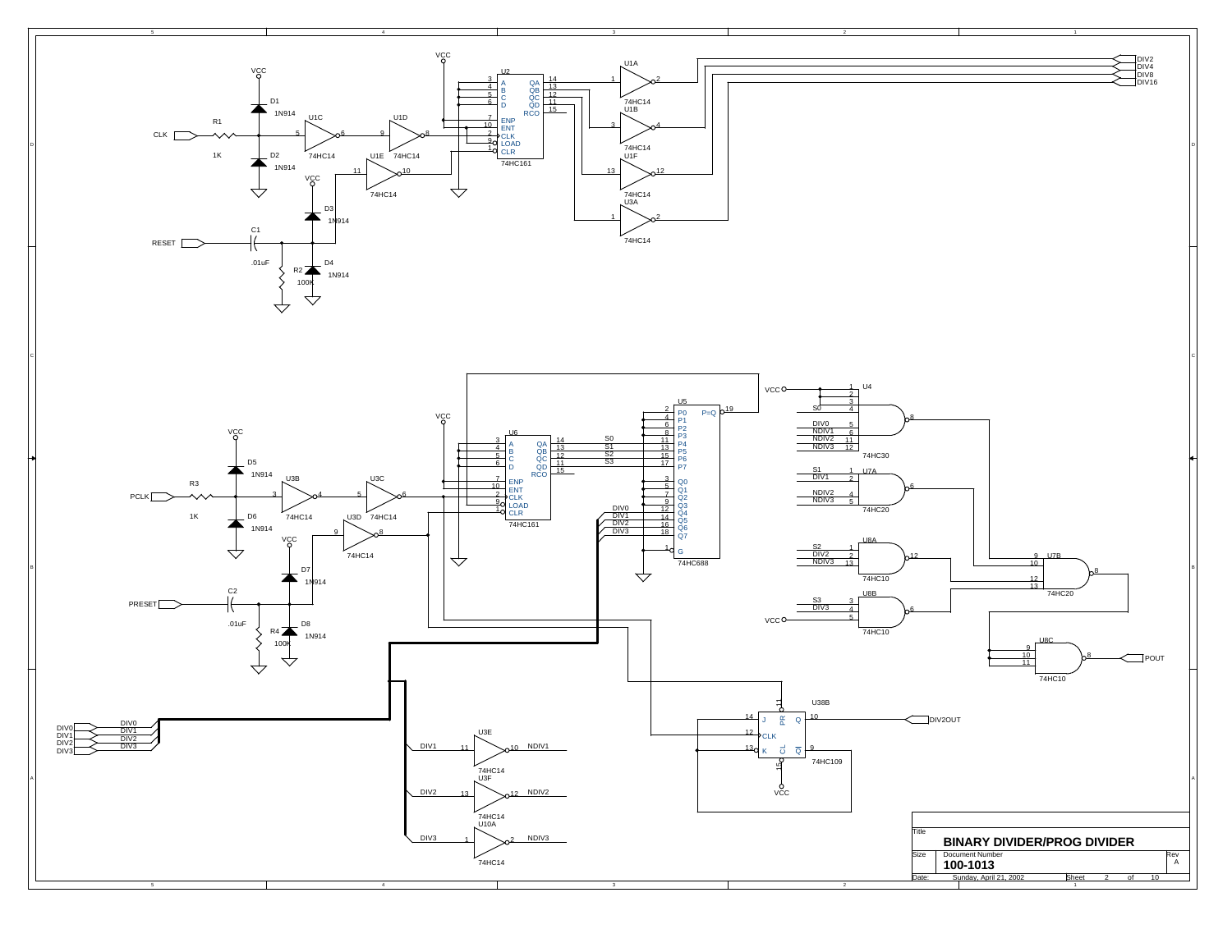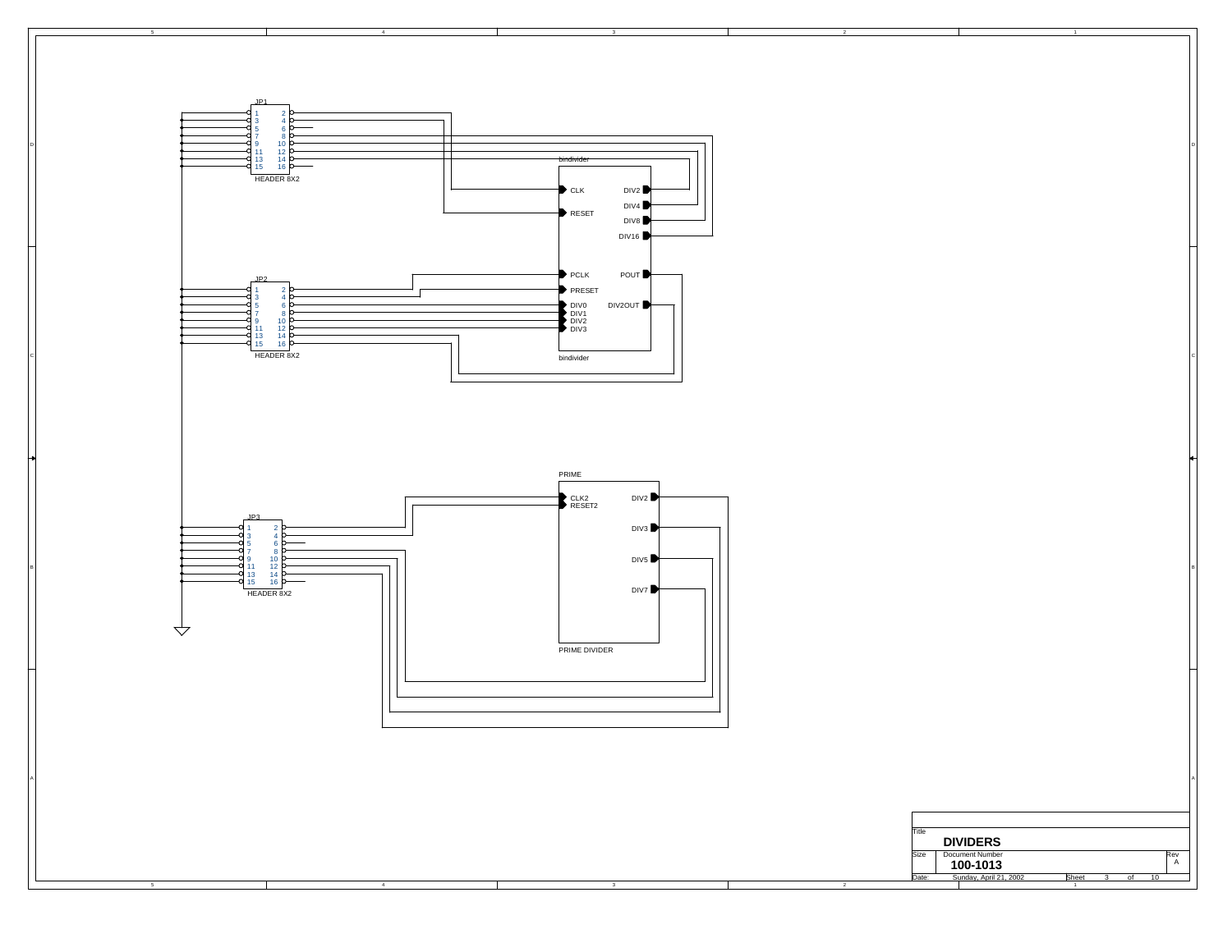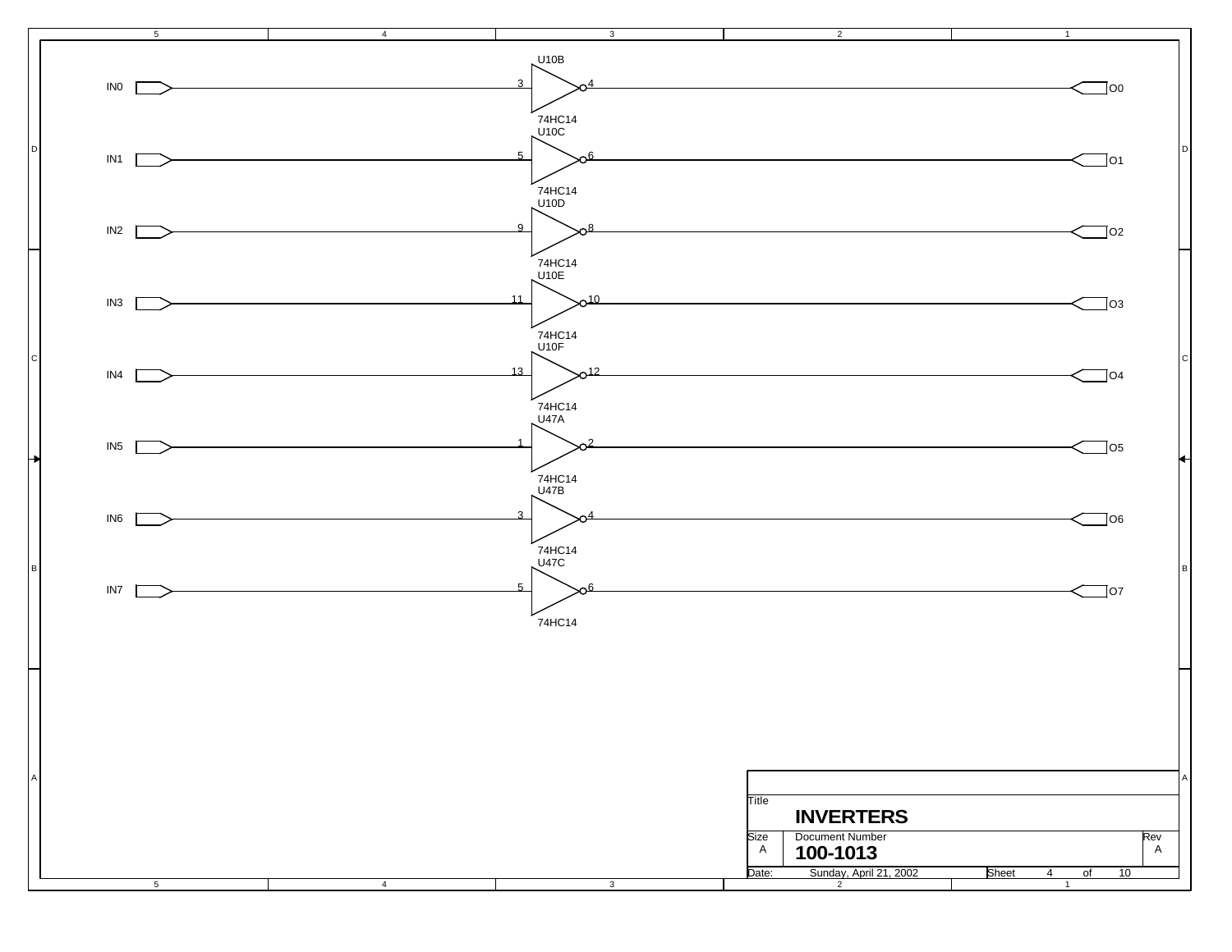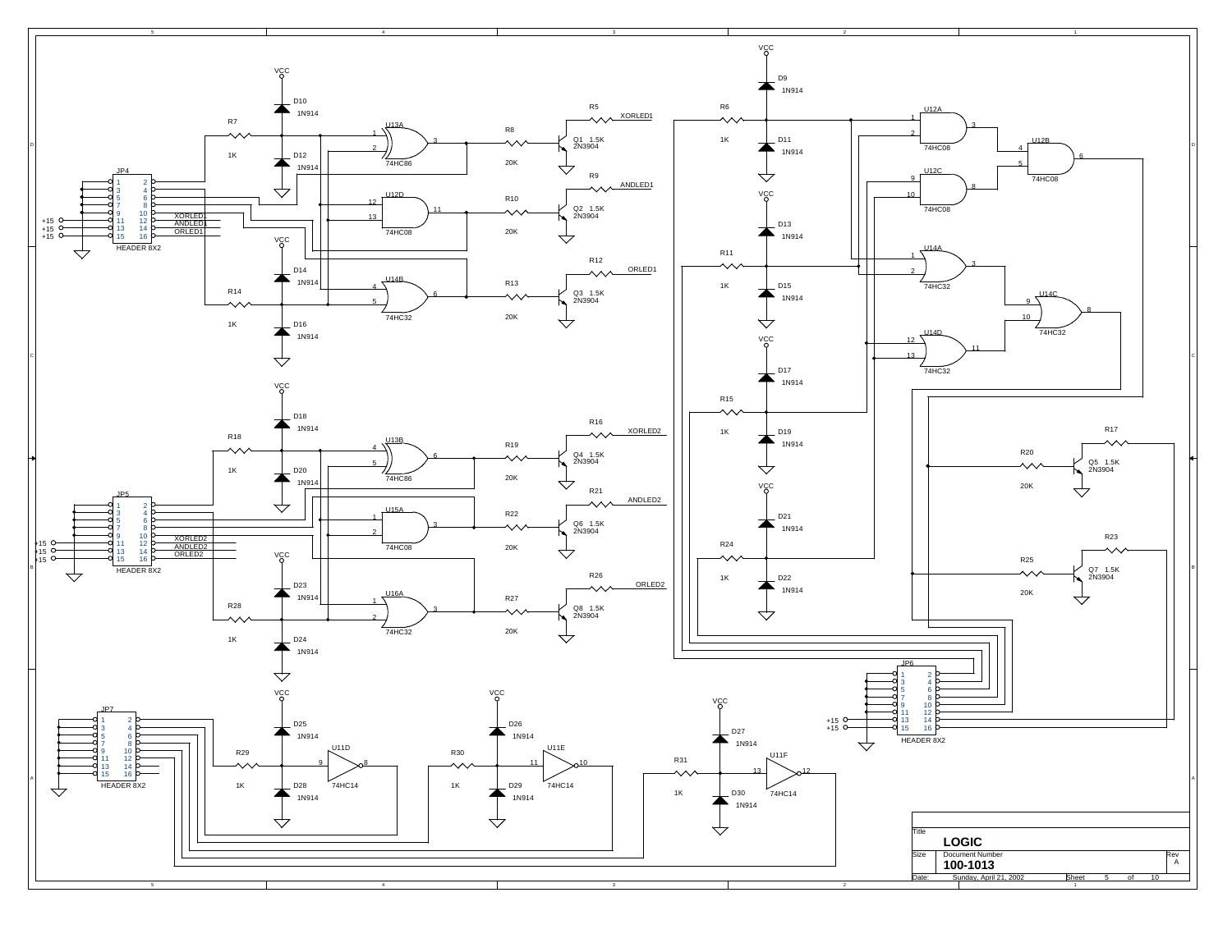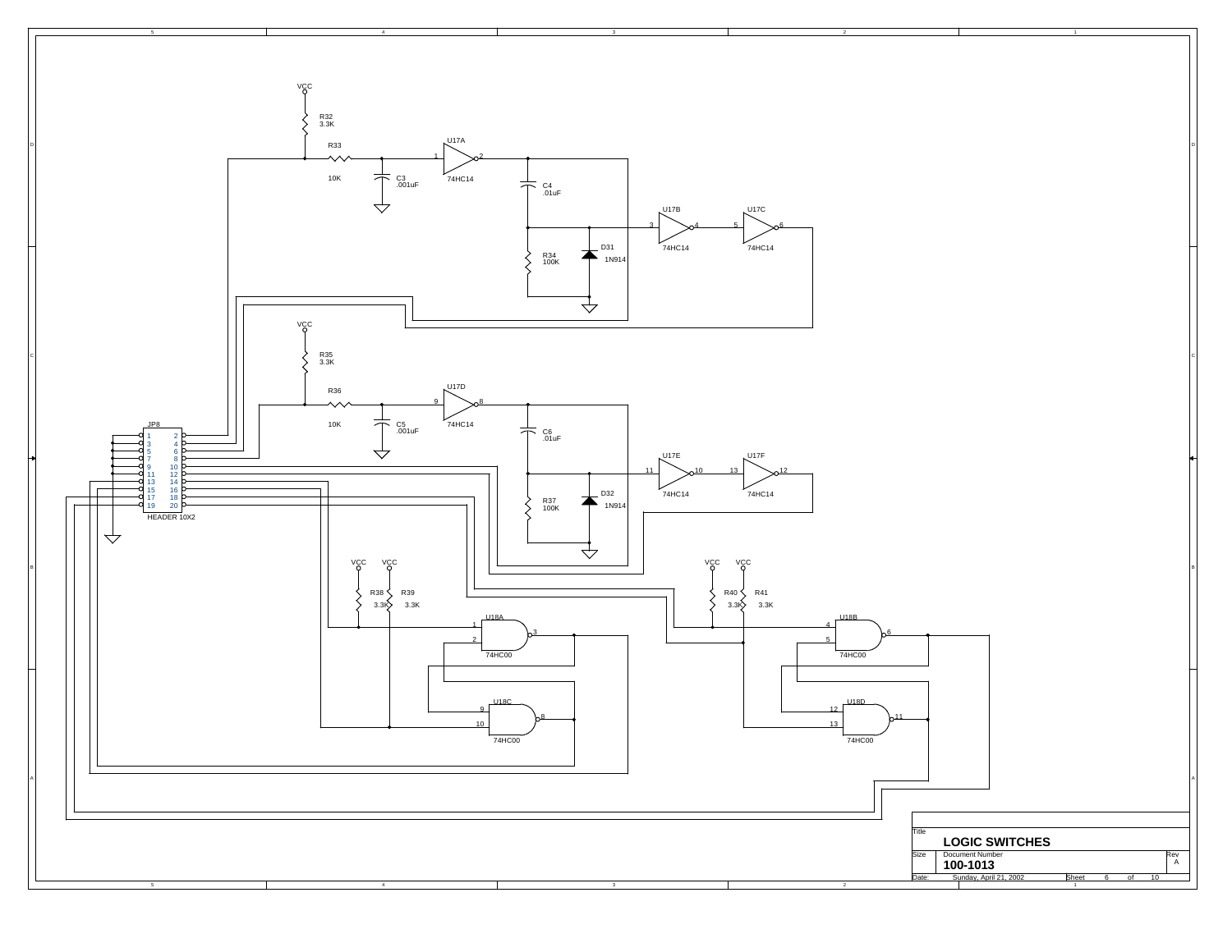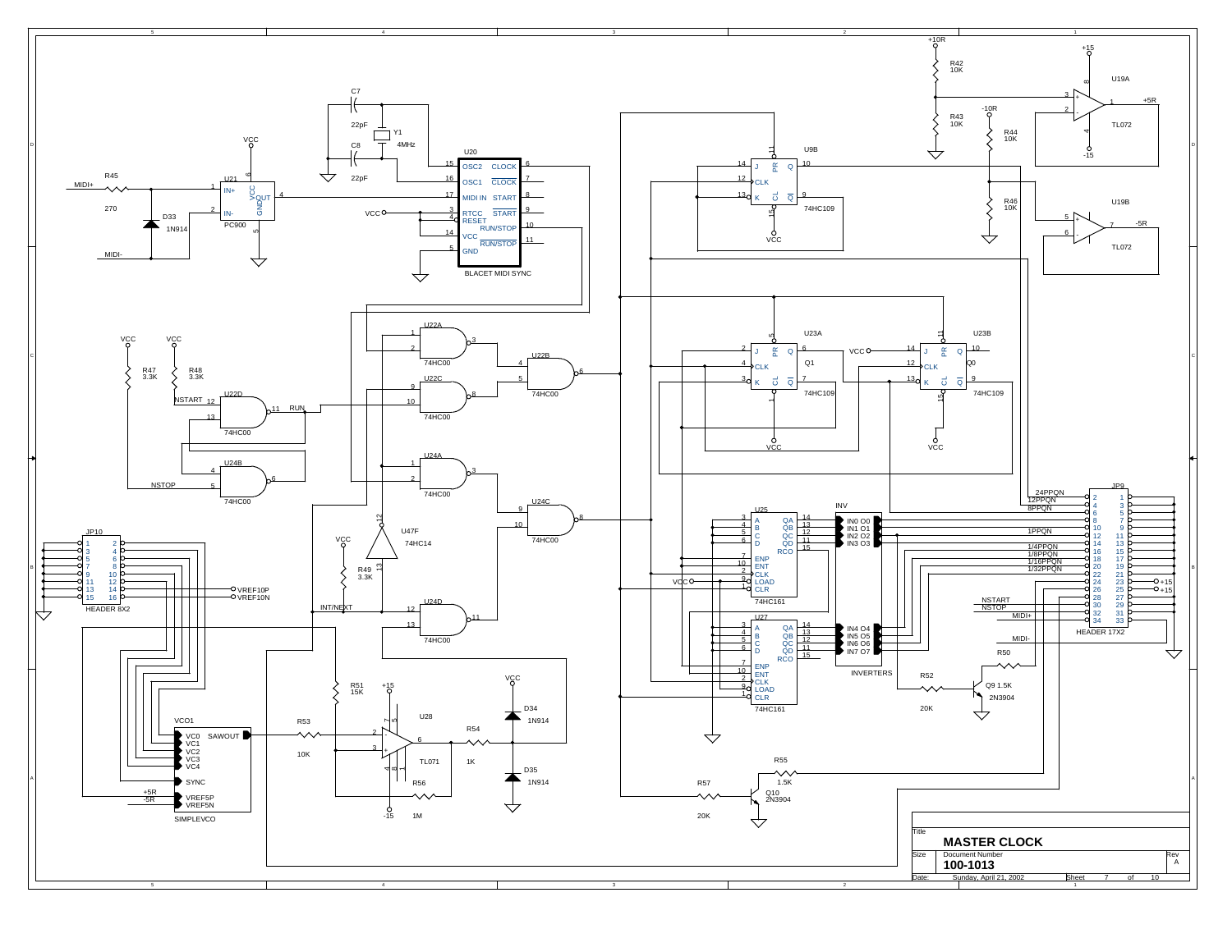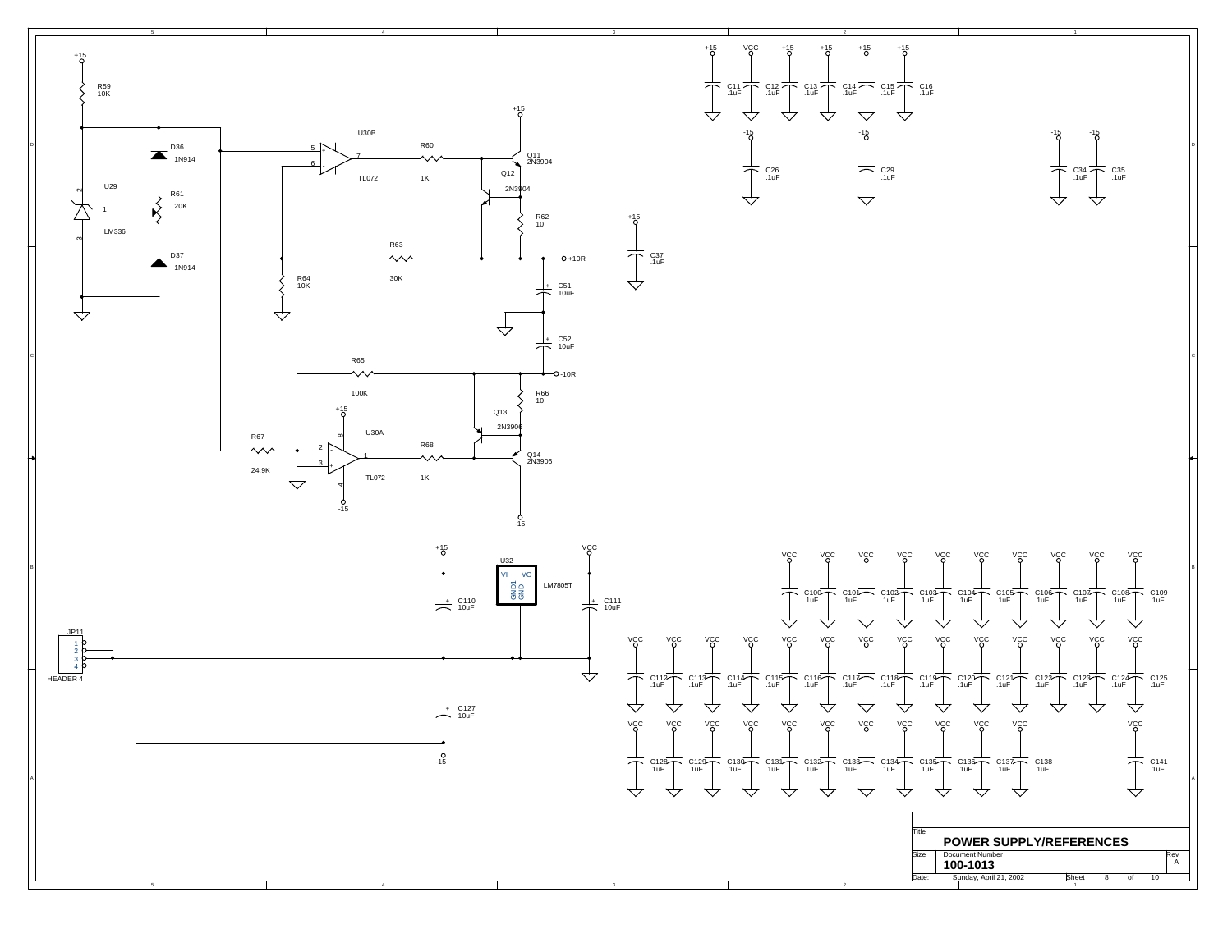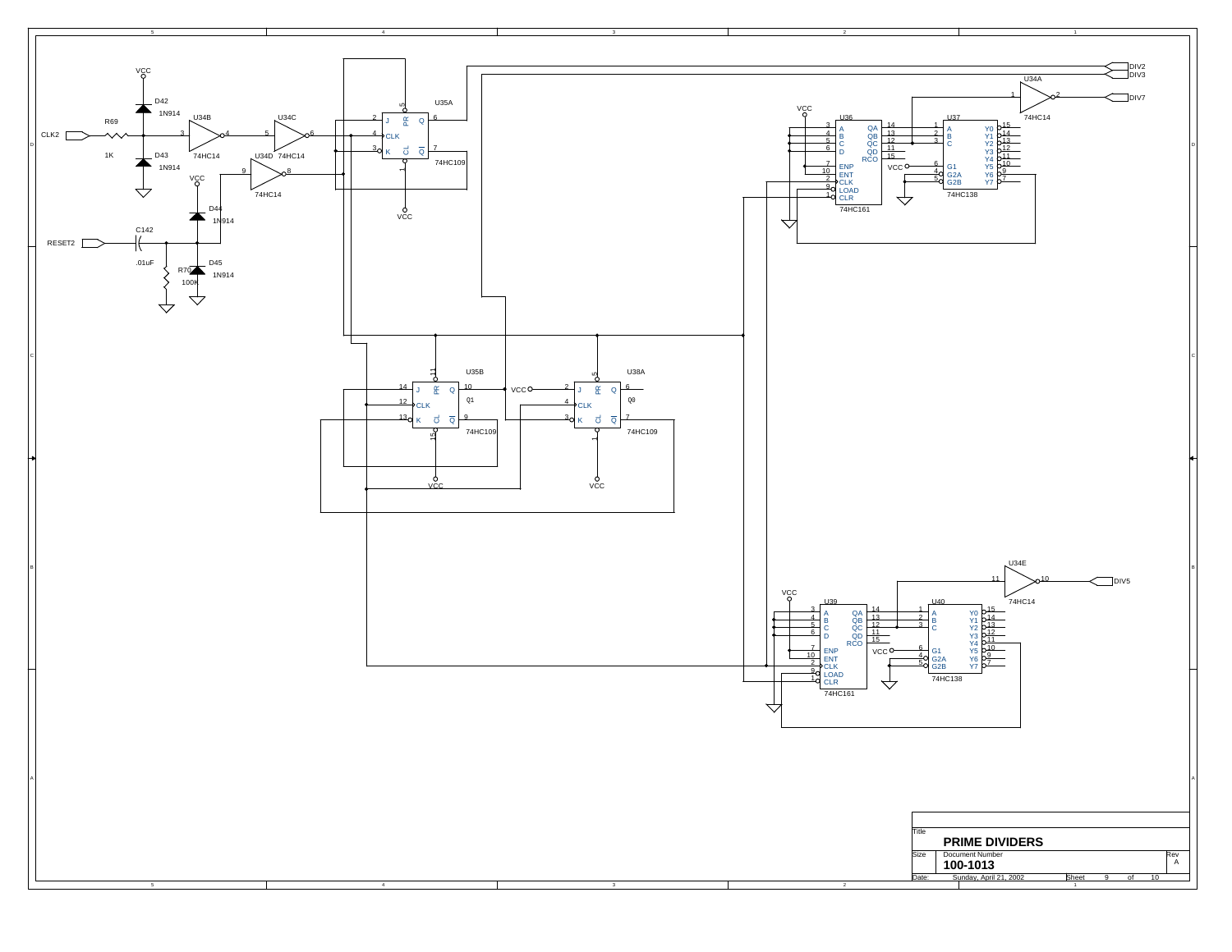